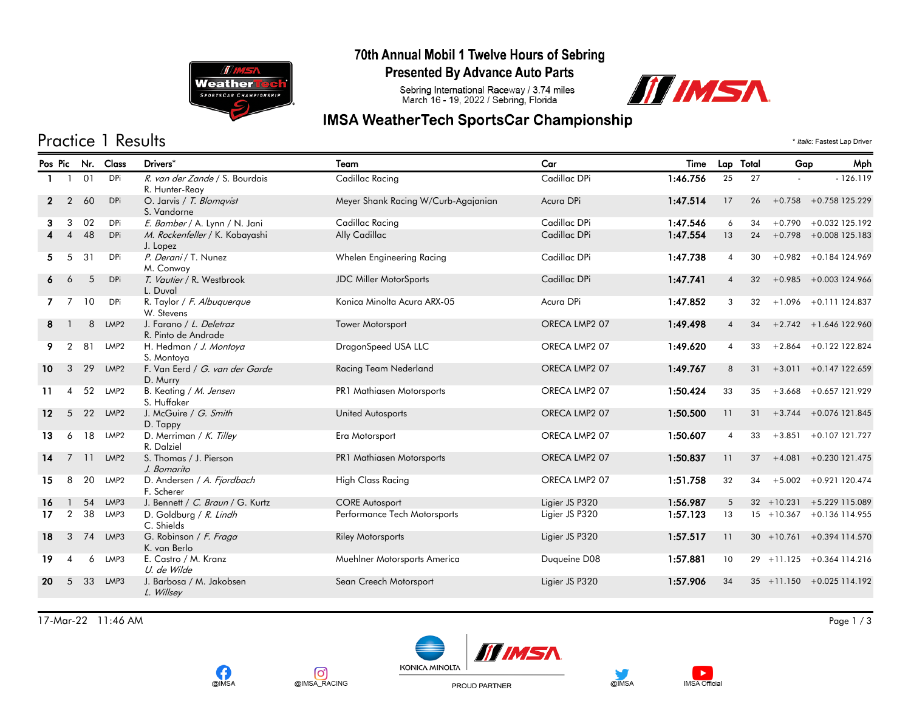

#### 70th Annual Mobil 1 Twelve Hours of Sebring

**Presented By Advance Auto Parts** 

Sebring International Raceway / 3.74 miles<br>March 16 - 19, 2022 / Sebring, Florida



## **IMSA WeatherTech SportsCar Championship**

Practice 1 Results \* *Italic:* Fastest Lap Driver

|              |                |    | Pos Pic Nr. Class | Drivers*                                         | Team                                | Car            | Time     |                        | Lap Total | Gap           | Mph                          |
|--------------|----------------|----|-------------------|--------------------------------------------------|-------------------------------------|----------------|----------|------------------------|-----------|---------------|------------------------------|
|              |                | 01 | DPi               | R. van der Zande / S. Bourdais<br>R. Hunter-Reay | Cadillac Racing                     | Cadillac DPi   | 1:46.756 | 25                     | 27        |               | $-126.119$                   |
| $\mathbf{2}$ | $\overline{2}$ | 60 | <b>DPi</b>        | O. Jarvis / T. Blomqvist<br>S. Vandorne          | Meyer Shank Racing W/Curb-Agajanian | Acura DPi      | 1:47.514 | 17                     | 26        |               | $+0.758$ +0.758 125.229      |
| з            | 3              | 02 | DPi               | E. Bamber / A. Lynn / N. Jani                    | Cadillac Racing                     | Cadillac DPi   | 1:47.546 | 6                      | 34        |               | $+0.790 + 0.032$ 125.192     |
|              |                | 48 | DPi               | M. Rockenfeller / K. Kobayashi<br>J. Lopez       | Ally Cadillac                       | Cadillac DPi   | 1:47.554 | 13                     | 24        |               | $+0.798 + 0.008125.183$      |
| 5.           | 5              | 31 | DPi               | P. Derani / T. Nunez<br>M. Conway                | Whelen Engineering Racing           | Cadillac DPi   | 1:47.738 | $\overline{4}$         | 30        |               | $+0.982 + 0.184124.969$      |
| 6            | 6              | 5  | DPi               | T. Vautier / R. Westbrook<br>L. Duval            | <b>JDC Miller MotorSports</b>       | Cadillac DPi   | 1:47.741 | $\overline{4}$         | 32        |               | $+0.985 + 0.003124.966$      |
|              |                | 10 | DPi               | R. Taylor / F. Albuquerque<br>W. Stevens         | Konica Minolta Acura ARX-05         | Acura DPi      | 1:47.852 | 3                      | 32        |               | $+1.096 + 0.111124.837$      |
| 8            |                | 8  | LMP <sub>2</sub>  | J. Farano / L. Deletraz<br>R. Pinto de Andrade   | <b>Tower Motorsport</b>             | ORECA LMP2 07  | 1:49.498 | $\overline{4}$         | 34        |               | $+2.742 + 1.646$ 122.960     |
| 9            | $\overline{2}$ | 81 | LMP2              | H. Hedman / J. Montoya<br>S. Montoya             | DragonSpeed USA LLC                 | ORECA LMP2 07  | 1:49.620 | $\overline{4}$         | 33        |               | $+2.864 + 0.122$ 122.824     |
| 10           | 3              | 29 | LMP <sub>2</sub>  | F. Van Eerd / G. van der Garde<br>D. Murry       | Racing Team Nederland               | ORECA LMP2 07  | 1:49.767 | 8                      | 31        |               | $+3.011 + 0.147122.659$      |
| 11           | 4              | 52 | LMP2              | B. Keating / M. Jensen<br>S. Huffaker            | PR1 Mathiasen Motorsports           | ORECA LMP2 07  | 1:50.424 | 33                     | 35        | $+3.668$      | +0.657 121.929               |
| $12 \,$      | 5              | 22 | LMP <sub>2</sub>  | J. McGuire / G. Smith<br>D. Tappy                | <b>United Autosports</b>            | ORECA LMP2 07  | 1:50.500 | 11                     | 31        |               | $+3.744 + 0.076$ 121.845     |
| 13           | 6              | 18 | LMP <sub>2</sub>  | D. Merriman / K. Tilley<br>R. Dalziel            | Era Motorsport                      | ORECA LMP2 07  | 1:50.607 | $\boldsymbol{\Lambda}$ | 33        |               | $+3.851 + 0.107121.727$      |
| 14           | $\overline{7}$ | 11 | LMP <sub>2</sub>  | S. Thomas / J. Pierson<br>J. Bomarito            | <b>PR1 Mathiasen Motorsports</b>    | ORECA LMP2 07  | 1:50.837 | 11                     | 37        |               | $+4.081 + 0.230121.475$      |
| 15           | 8              | 20 | LMP2              | D. Andersen / A. Fjordbach<br>F. Scherer         | <b>High Class Racing</b>            | ORECA LMP2 07  | 1:51.758 | 32                     | 34        |               | $+5.002 + 0.921$ 120.474     |
| 16           |                | 54 | LMP3              | J. Bennett / C. Braun / G. Kurtz                 | <b>CORE Autosport</b>               | Ligier JS P320 | 1:56.987 | 5                      |           | $32 + 10.231$ | +5.229 115.089               |
| 17           | $\overline{2}$ | 38 | LMP3              | D. Goldburg / R. Lindh<br>C. Shields             | Performance Tech Motorsports        | Ligier JS P320 | 1:57.123 | 13                     |           |               | $15 + 10.367 + 0.136114.955$ |
| 18           | 3              | 74 | LMP3              | G. Robinson / F. Fraga<br>K. van Berlo           | <b>Riley Motorsports</b>            | Ligier JS P320 | 1:57.517 | 11                     |           |               | $30 + 10.761 + 0.394114.570$ |
| 19           | 4              | 6  | LMP3              | E. Castro / M. Kranz<br>U. de Wilde              | Muehlner Motorsports America        | Duqueine D08   | 1:57.881 | 10                     |           | $29 + 11.125$ | $+0.364$ 114.216             |
| 20           | 5              | 33 | LMP3              | J. Barbosa / M. Jakobsen<br>L. Willsey           | Sean Creech Motorsport              | Ligier JS P320 | 1:57.906 | 34                     |           |               | $35 + 11.150 + 0.025114.192$ |

17-Mar-22 11:46 AM Page 1 / 3







PROUD PARTNER





 $\blacktriangleright$ 

**IMSA Official** 

@IMSA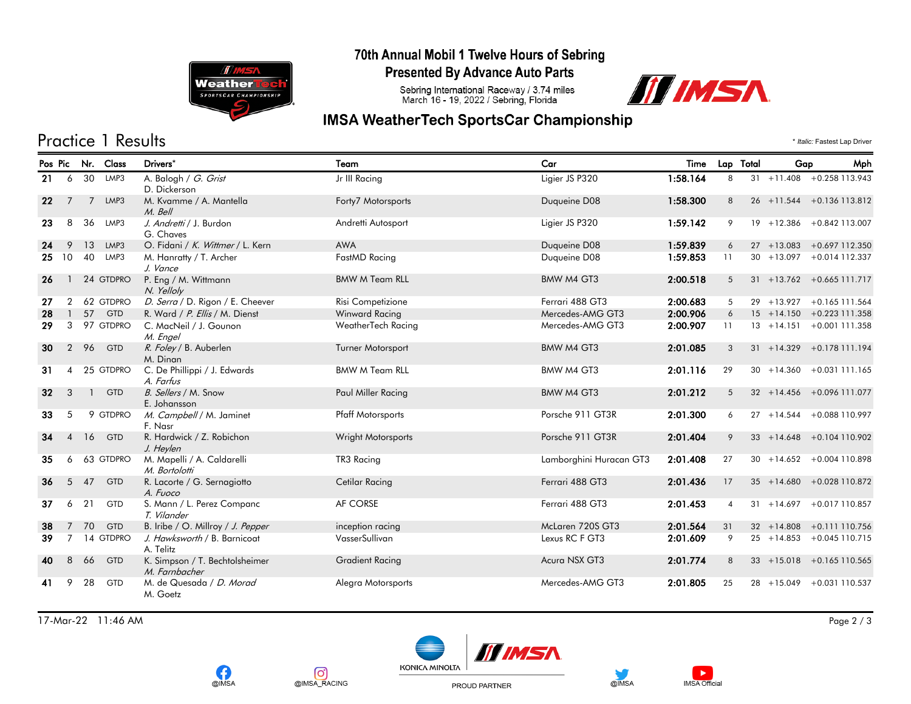

#### 70th Annual Mobil 1 Twelve Hours of Sebring

**Presented By Advance Auto Parts** 

Sebring International Raceway / 3.74 miles<br>March 16 - 19, 2022 / Sebring, Florida



# **IMSA WeatherTech SportsCar Championship**

# Practice 1 Results \* *Italic:* Fastest Lap Driver

|                 |                |              | Pos Pic Nr. Class | Drivers*                                        | Team                     | Car                     | Time     | Lap Total      | Gap           | Mph                           |
|-----------------|----------------|--------------|-------------------|-------------------------------------------------|--------------------------|-------------------------|----------|----------------|---------------|-------------------------------|
| 21              | 6              | 30           | LMP3              | A. Balogh / G. Grist<br>D. Dickerson            | Jr III Racing            | Ligier JS P320          | 1:58.164 | 8              |               | $31 + 11.408 + 0.258113.943$  |
| 22              | 7              | 7            | LMP3              | M. Kvamme / A. Mantella<br>M. Bell              | Forty7 Motorsports       | Duqueine D08            | 1:58.300 | 8              |               | 26 +11.544 +0.136 113.812     |
| 23              | 8              | 36           | LMP3              | J. Andretti / J. Burdon<br>G. Chaves            | Andretti Autosport       | Ligier JS P320          | 1:59.142 | 9              |               | 19 +12.386 +0.842 113.007     |
| 24              | 9              | 13           | LMP3              | O. Fidani / K. Wittmer / L. Kern                | <b>AWA</b>               | Duqueine D08            | 1:59.839 | 6              |               | 27 +13.083 +0.697 112.350     |
| 25              | 10             | 40           | LMP3              | M. Hanratty / T. Archer<br>J. Vance             | FastMD Racing            | Duqueine D08            | 1:59.853 | 11             |               | $30 + 13.097 + 0.014$ 112.337 |
| 26              |                |              | 24 GTDPRO         | P. Eng / M. Wittmann<br>N. Yelloly              | <b>BMW M Team RLL</b>    | BMW M4 GT3              | 2:00.518 | 5              |               | $31 + 13.762 + 0.665111.717$  |
| 27              | 2              |              | 62 GTDPRO         | D. Serra / D. Rigon / E. Cheever                | Risi Competizione        | Ferrari 488 GT3         | 2:00.683 | 5              |               | 29 +13.927 +0.165 111.564     |
| 28              | $\mathbf{1}$   | 57           | <b>GTD</b>        | R. Ward / P. Ellis / M. Dienst                  | Winward Racing           | Mercedes-AMG GT3        | 2:00.906 | 6              |               | $15 + 14.150 + 0.223111.358$  |
| 29              | $\mathbf{3}$   |              | 97 GTDPRO         | C. MacNeil / J. Gounon<br>M. Engel              | WeatherTech Racing       | Mercedes-AMG GT3        | 2:00.907 | 11             |               | $13 + 14.151 + 0.001111.358$  |
| 30              | $\overline{2}$ | 96           | GTD               | R. Foley / B. Auberlen<br>M. Dinan              | Turner Motorsport        | BMW M4 GT3              | 2:01.085 | 3              |               | $31 + 14.329 + 0.178111.194$  |
| 31              | $\overline{4}$ |              | 25 GTDPRO         | C. De Phillippi / J. Edwards<br>A. Farfus       | <b>BMW M Team RLL</b>    | BMW M4 GT3              | 2:01.116 | 29             |               | $30 + 14.360 + 0.031111.165$  |
| 32 <sub>2</sub> | 3              | $\mathbf{1}$ | GTD               | B. Sellers / M. Snow<br>E. Johansson            | Paul Miller Racing       | BMW M4 GT3              | 2:01.212 | $5^{\circ}$    |               | $32 + 14.456 + 0.096111.077$  |
| 33              | 5              |              | 9 GTDPRO          | M. Campbell / M. Jaminet<br>F. Nasr             | <b>Pfaff Motorsports</b> | Porsche 911 GT3R        | 2:01.300 | 6              |               | 27 +14.544 +0.088 110.997     |
| 34              | $\overline{4}$ | 16           | <b>GTD</b>        | R. Hardwick / Z. Robichon<br>J. Heylen          | Wright Motorsports       | Porsche 911 GT3R        | 2:01.404 | 9              |               | $33 + 14.648 + 0.104110.902$  |
| 35              | 6              |              | 63 GTDPRO         | M. Mapelli / A. Caldarelli<br>M. Bortolotti     | TR3 Racing               | Lamborghini Huracan GT3 | 2:01.408 | 27             |               | $30 + 14.652 + 0.004110.898$  |
| 36              | 5              | 47           | <b>GTD</b>        | R. Lacorte / G. Sernagiotto<br>A. Fuoco         | Cetilar Racing           | Ferrari 488 GT3         | 2:01.436 | 17             |               | $35 + 14.680 + 0.028110.872$  |
| 37              | 6              | 21           | GTD               | S. Mann / L. Perez Companc<br>T. Vilander       | AF CORSE                 | Ferrari 488 GT3         | 2:01.453 | $\overline{4}$ |               | $31 + 14.697 + 0.017110.857$  |
| 38              | $7^{\circ}$    | 70           | GTD               | B. Iribe / O. Millroy / J. Pepper               | inception racing         | McLaren 720S GT3        | 2:01.564 | 31             |               | $32 + 14.808 + 0.111110.756$  |
| 39              | 7 <sup>7</sup> |              | 14 GTDPRO         | J. Hawksworth / B. Barnicoat<br>A. Telitz       | VasserSullivan           | Lexus RC F GT3          | 2:01.609 | 9              |               | $25 + 14.853 + 0.045110.715$  |
| 40              | 8              | 66           | <b>GTD</b>        | K. Simpson / T. Bechtolsheimer<br>M. Farnbacher | <b>Gradient Racing</b>   | Acura NSX GT3           | 2:01.774 | 8              |               | $33 + 15.018 + 0.165110.565$  |
| 41              | 9              | 28           | GTD               | M. de Quesada / D. Morad<br>M. Goetz            | Alegra Motorsports       | Mercedes-AMG GT3        | 2:01.805 | 25             | $28 + 15.049$ | +0.031 110.537                |

17-Mar-22 11:46 AM Page 2 / 3







PROUD PARTNER